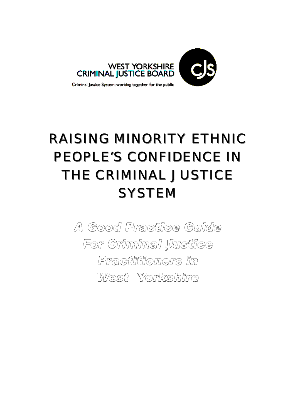

## RAISING MINORITY ETHNIC PEOPLE'S CONFIDENCE IN THE CRIMINAL JUSTICE **SYSTEM**

*A Good Practice Guide For Criminal Justice Practitioners in West Yorkshire*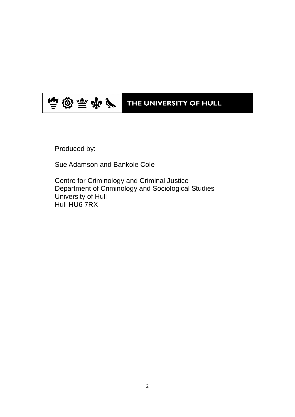#### 順國時史| THE UNIVERSITY OF HULL

Produced by:

Sue Adamson and Bankole Cole

Centre for Criminology and Criminal Justice Department of Criminology and Sociological Studies University of Hull Hull HU6 7RX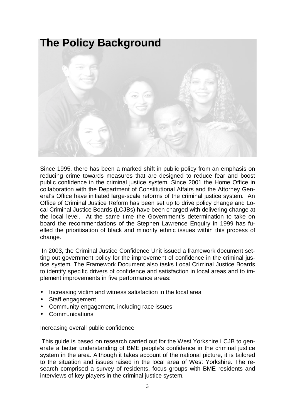

Since 1995, there has been a marked shift in public policy from an emphasis on reducing crime towards measures that are designed to reduce fear and boost public confidence in the criminal justice system. Since 2001 the Home Office in collaboration with the Department of Constitutional Affairs and the Attorney General's Office have initiated large-scale reforms of the criminal justice system. An Office of Criminal Justice Reform has been set up to drive policy change and Local Criminal Justice Boards (LCJBs) have been charged with delivering change at the local level. At the same time the Government's determination to take on board the recommendations of the Stephen Lawrence Enquiry in 1999 has fuelled the prioritisation of black and minority ethnic issues within this process of change.

 In 2003, the Criminal Justice Confidence Unit issued a framework document setting out government policy for the improvement of confidence in the criminal justice system. The Framework Document also tasks Local Criminal Justice Boards to identify specific drivers of confidence and satisfaction in local areas and to implement improvements in five performance areas:

- Increasing victim and witness satisfaction in the local area
- Staff engagement
- Community engagement, including race issues
- **Communications**

Increasing overall public confidence

 This guide is based on research carried out for the West Yorkshire LCJB to generate a better understanding of BME people's confidence in the criminal justice system in the area. Although it takes account of the national picture, it is tailored to the situation and issues raised in the local area of West Yorkshire. The research comprised a survey of residents, focus groups with BME residents and interviews of key players in the criminal justice system.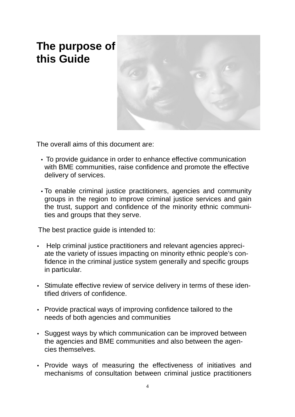### **The purpose of this Guide**



The overall aims of this document are:

- To provide guidance in order to enhance effective communication with BME communities, raise confidence and promote the effective delivery of services.
- To enable criminal justice practitioners, agencies and community groups in the region to improve criminal justice services and gain the trust, support and confidence of the minority ethnic communities and groups that they serve.

The best practice guide is intended to:

- Help criminal justice practitioners and relevant agencies appreciate the variety of issues impacting on minority ethnic people's confidence in the criminal justice system generally and specific groups in particular.
- Stimulate effective review of service delivery in terms of these identified drivers of confidence.
- Provide practical ways of improving confidence tailored to the needs of both agencies and communities
- Suggest ways by which communication can be improved between the agencies and BME communities and also between the agencies themselves.
- Provide ways of measuring the effectiveness of initiatives and mechanisms of consultation between criminal justice practitioners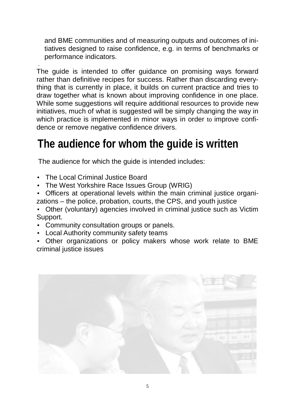and BME communities and of measuring outputs and outcomes of initiatives designed to raise confidence, e.g. in terms of benchmarks or performance indicators.

. The guide is intended to offer guidance on promising ways forward rather than definitive recipes for success. Rather than discarding everything that is currently in place, it builds on current practice and tries to draw together what is known about improving confidence in one place. While some suggestions will require additional resources to provide new initiatives, much of what is suggested will be simply changing the way in which practice is implemented in minor ways in order to improve confidence or remove negative confidence drivers.

## **The audience for whom the guide is written**

The audience for which the guide is intended includes:

- The Local Criminal Justice Board
- The West Yorkshire Race Issues Group (WRIG)
- Officers at operational levels within the main criminal justice organizations – the police, probation, courts, the CPS, and youth justice

• Other (voluntary) agencies involved in criminal justice such as Victim Support.

- Community consultation groups or panels.
- Local Authority community safety teams

• Other organizations or policy makers whose work relate to BME criminal justice issues

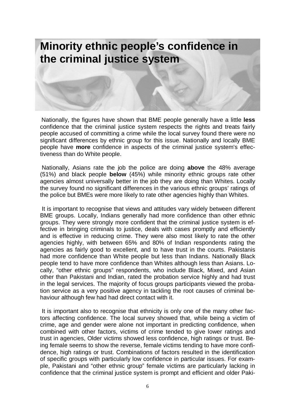# **Minority ethnic people's confidence in the criminal justice system**

Nationally, the figures have shown that BME people generally have a little **less** confidence that the criminal justice system respects the rights and treats fairly people accused of committing a crime while the local survey found there were no significant differences by ethnic group for this issue. Nationally and locally BME people have **more** confidence in aspects of the criminal justice system's effectiveness than do White people.

 Nationally, Asians rate the job the police are doing **above** the 48% average (51%) and black people **below** (45%) while minority ethnic groups rate other agencies almost universally better in the job they are doing than Whites. Locally the survey found no significant differences in the various ethnic groups' ratings of the police but BMEs were more likely to rate other agencies highly than Whites.

 It is important to recognise that views and attitudes vary widely between different BME groups. Locally, Indians generally had more confidence than other ethnic groups. They were strongly more confident that the criminal justice system is effective in bringing criminals to justice, deals with cases promptly and efficiently and is effective in reducing crime. They were also most likely to rate the other agencies highly, with between 65% and 80% of Indian respondents rating the agencies as fairly good to excellent, and to have trust in the courts. Pakistanis had more confidence than White people but less than Indians. Nationally Black people tend to have more confidence than Whites although less than Asians. Locally, "other ethnic groups" respondents, who include Black, Mixed, and Asian other than Pakistani and Indian, rated the probation service highly and had trust in the legal services. The majority of focus groups participants viewed the probation service as a very positive agency in tackling the root causes of criminal behaviour although few had had direct contact with it.

 It is important also to recognise that ethnicity is only one of the many other factors affecting confidence. The local survey showed that, while being a victim of crime, age and gender were alone not important in predicting confidence, when combined with other factors, victims of crime tended to give lower ratings and trust in agencies, Older victims showed less confidence, high ratings or trust. Being female seems to show the reverse, female victims tending to have more confidence, high ratings or trust. Combinations of factors resulted in the identification of specific groups with particularly low confidence in particular issues. For example, Pakistani and "other ethnic group" female victims are particularly lacking in confidence that the criminal justice system is prompt and efficient and older Paki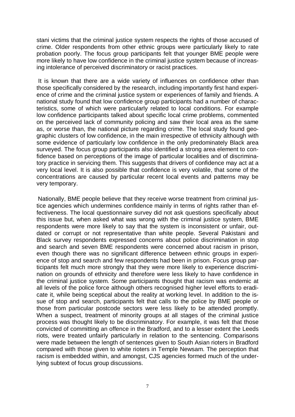stani victims that the criminal justice system respects the rights of those accused of crime. Older respondents from other ethnic groups were particularly likely to rate probation poorly. The focus group participants felt that younger BME people were more likely to have low confidence in the criminal justice system because of increasing intolerance of perceived discriminatory or racist practices.

 It is known that there are a wide variety of influences on confidence other than those specifically considered by the research, including importantly first hand experience of crime and the criminal justice system or experiences of family and friends. A national study found that low confidence group participants had a number of characteristics, some of which were particularly related to local conditions. For example low confidence participants talked about specific local crime problems, commented on the perceived lack of community policing and saw their local area as the same as, or worse than, the national picture regarding crime. The local study found geographic clusters of low confidence, in the main irrespective of ethnicity although with some evidence of particularly low confidence in the only predominately Black area surveyed. The focus group participants also identified a strong area element to confidence based on perceptions of the image of particular localities and of discriminatory practice in servicing them. This suggests that drivers of confidence may act at a very local level. It is also possible that confidence is very volatile, that some of the concentrations are caused by particular recent local events and patterns may be very temporary.

Nationally, BME people believe that they receive worse treatment from criminal justice agencies which undermines confidence mainly in terms of rights rather than effectiveness. The local questionnaire survey did not ask questions specifically about this issue but, when asked what was wrong with the criminal justice system, BME respondents were more likely to say that the system is inconsistent or unfair, outdated or corrupt or not representative than white people. Several Pakistani and Black survey respondents expressed concerns about police discrimination in stop and search and seven BME respondents were concerned about racism in prison, even though there was no significant difference between ethnic groups in experience of stop and search and few respondents had been in prison. Focus group participants felt much more strongly that they were more likely to experience discrimination on grounds of ethnicity and therefore were less likely to have confidence in the criminal justice system. Some participants thought that racism was endemic at all levels of the police force although others recognised higher level efforts to eradicate it, while being sceptical about the reality at working level. In addition to the issue of stop and search, participants felt that calls to the police by BME people or those from particular postcode sectors were less likely to be attended promptly. When a suspect, treatment of minority groups at all stages of the criminal justice process was thought likely to be discriminatory. For example, it was felt that those convicted of committing an offence in the Bradford, and to a lesser extent the Leeds riots, were treated unfairly particularly in relation to the sentencing. Comparisons were made between the length of sentences given to South Asian rioters in Bradford compared with those given to white rioters in Temple Newsam. The perception that racism is embedded within, and amongst, CJS agencies formed much of the underlying subtext of focus group discussions.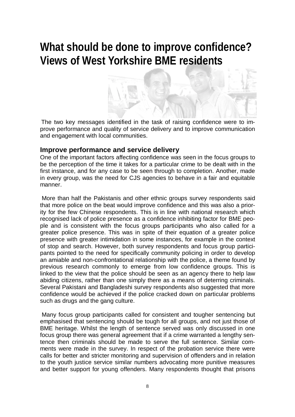## **What should be done to improve confidence? Views of West Yorkshire BME residents**



The two key messages identified in the task of raising confidence were to improve performance and quality of service delivery and to improve communication and engagement with local communities.

#### **Improve performance and service delivery**

One of the important factors affecting confidence was seen in the focus groups to be the perception of the time it takes for a particular crime to be dealt with in the first instance, and for any case to be seen through to completion. Another, made in every group, was the need for CJS agencies to behave in a fair and equitable manner.

 More than half the Pakistanis and other ethnic groups survey respondents said that more police on the beat would improve confidence and this was also a priority for the few Chinese respondents. This is in line with national research which recognised lack of police presence as a confidence inhibiting factor for BME people and is consistent with the focus groups participants who also called for a greater police presence. This was in spite of their equation of a greater police presence with greater intimidation in some instances, for example in the context of stop and search. However, both survey respondents and focus group participants pointed to the need for specifically community policing in order to develop an amiable and non-confrontational relationship with the police, a theme found by previous research commonly to emerge from low confidence groups. This is linked to the view that the police should be seen as an agency there to help law abiding citizens, rather than one simply there as a means of deterring criminals. Several Pakistani and Bangladeshi survey respondents also suggested that more confidence would be achieved if the police cracked down on particular problems such as drugs and the gang culture.

 Many focus group participants called for consistent and tougher sentencing but emphasised that sentencing should be tough for all groups, and not just those of BME heritage. Whilst the length of sentence served was only discussed in one focus group there was general agreement that if a crime warranted a lengthy sentence then criminals should be made to serve the full sentence. Similar comments were made in the survey. In respect of the probation service there were calls for better and stricter monitoring and supervision of offenders and in relation to the youth justice service similar numbers advocating more punitive measures and better support for young offenders. Many respondents thought that prisons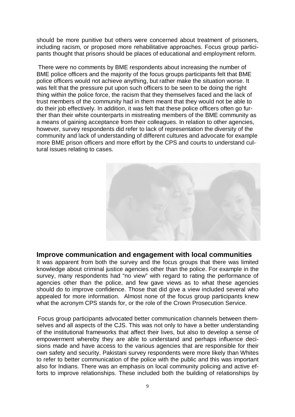should be more punitive but others were concerned about treatment of prisoners, including racism, or proposed more rehabilitative approaches. Focus group participants thought that prisons should be places of educational and employment reform.

 There were no comments by BME respondents about increasing the number of BME police officers and the majority of the focus groups participants felt that BME police officers would not achieve anything, but rather make the situation worse. It was felt that the pressure put upon such officers to be seen to be doing the right thing within the police force, the racism that they themselves faced and the lack of trust members of the community had in them meant that they would not be able to do their job effectively. In addition, it was felt that these police officers often go further than their white counterparts in mistreating members of the BME community as a means of gaining acceptance from their colleagues. In relation to other agencies, however, survey respondents did refer to lack of representation the diversity of the community and lack of understanding of different cultures and advocate for example more BME prison officers and more effort by the CPS and courts to understand cultural issues relating to cases.



#### **Improve communication and engagement with local communities**

It was apparent from both the survey and the focus groups that there was limited knowledge about criminal justice agencies other than the police. For example in the survey, many respondents had "no view" with regard to rating the performance of agencies other than the police, and few gave views as to what these agencies should do to improve confidence. Those that did give a view included several who appealed for more information. Almost none of the focus group participants knew what the acronym CPS stands for, or the role of the Crown Prosecution Service.

Focus group participants advocated better communication channels between themselves and all aspects of the CJS. This was not only to have a better understanding of the institutional frameworks that affect their lives, but also to develop a sense of empowerment whereby they are able to understand and perhaps influence decisions made and have access to the various agencies that are responsible for their own safety and security. Pakistani survey respondents were more likely than Whites to refer to better communication of the police with the public and this was important also for Indians. There was an emphasis on local community policing and active efforts to improve relationships. These included both the building of relationships by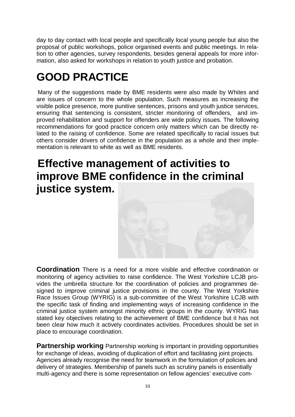day to day contact with local people and specifically local young people but also the proposal of public workshops, police organised events and public meetings. In relation to other agencies, survey respondents, besides general appeals for more information, also asked for workshops in relation to youth justice and probation.

## **GOOD PRACTICE**

Many of the suggestions made by BME residents were also made by Whites and are issues of concern to the whole population. Such measures as increasing the visible police presence, more punitive sentences, prisons and youth justice services, ensuring that sentencing is consistent, stricter monitoring of offenders, and improved rehabilitation and support for offenders are wide policy issues. The following recommendations for good practice concern only matters which can be directly related to the raising of confidence. Some are related specifically to racial issues but others consider drivers of confidence in the population as a whole and their implementation is relevant to white as well as BME residents.

#### **Effective management of activities to improve BME confidence in the criminal justice system.**



**Coordination** There is a need for a more visible and effective coordination or monitoring of agency activities to raise confidence. The West Yorkshire LCJB provides the umbrella structure for the coordination of policies and programmes designed to improve criminal justice provisions in the county. The West Yorkshire Race Issues Group (WYRIG) is a sub-committee of the West Yorkshire LCJB with the specific task of finding and implementing ways of increasing confidence in the criminal justice system amongst minority ethnic groups in the county. WYRIG has stated key objectives relating to the achievement of BME confidence but it has not been clear how much it actively coordinates activities. Procedures should be set in place to encourage coordination.

**Partnership working** Partnership working is important in providing opportunities for exchange of ideas, avoiding of duplication of effort and facilitating joint projects. Agencies already recognise the need for teamwork in the formulation of policies and delivery of strategies. Membership of panels such as scrutiny panels is essentially multi-agency and there is some representation on fellow agencies' executive com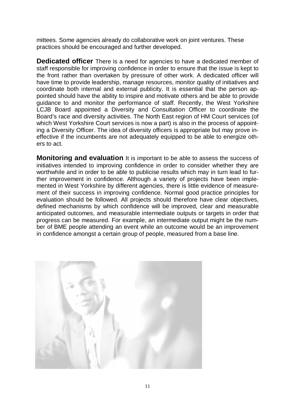mittees. Some agencies already do collaborative work on joint ventures. These practices should be encouraged and further developed.

**Dedicated officer** There is a need for agencies to have a dedicated member of staff responsible for improving confidence in order to ensure that the issue is kept to the front rather than overtaken by pressure of other work. A dedicated officer will have time to provide leadership, manage resources, monitor quality of initiatives and coordinate both internal and external publicity. It is essential that the person appointed should have the ability to inspire and motivate others and be able to provide guidance to and monitor the performance of staff. Recently, the West Yorkshire LCJB Board appointed a Diversity and Consultation Officer to coordinate the Board's race and diversity activities. The North East region of HM Court services (of which West Yorkshire Court services is now a part) is also in the process of appointing a Diversity Officer. The idea of diversity officers is appropriate but may prove ineffective if the incumbents are not adequately equipped to be able to energize others to act.

**Monitoring and evaluation** It is important to be able to assess the success of initiatives intended to improving confidence in order to consider whether they are worthwhile and in order to be able to publicise results which may in turn lead to further improvement in confidence. Although a variety of projects have been implemented in West Yorkshire by different agencies, there is little evidence of measurement of their success in improving confidence. Normal good practice principles for evaluation should be followed. All projects should therefore have clear objectives, defined mechanisms by which confidence will be improved, clear and measurable anticipated outcomes, and measurable intermediate outputs or targets in order that progress can be measured. For example, an intermediate output might be the number of BME people attending an event while an outcome would be an improvement in confidence amongst a certain group of people, measured from a base line.

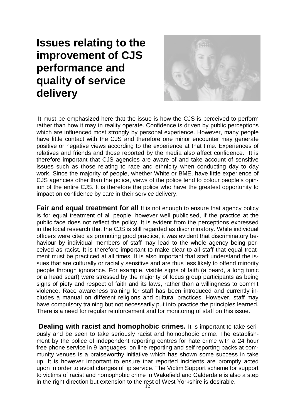#### **Issues relating to the improvement of CJS performance and quality of service delivery**



It must be emphasized here that the issue is how the CJS is perceived to perform rather than how it may in reality operate. Confidence is driven by public perceptions which are influenced most strongly by personal experience. However, many people have little contact with the CJS and therefore one minor encounter may generate positive or negative views according to the experience at that time. Experiences of relatives and friends and those reported by the media also affect confidence. It is therefore important that CJS agencies are aware of and take account of sensitive issues such as those relating to race and ethnicity when conducting day to day work. Since the majority of people, whether White or BME, have little experience of CJS agencies other than the police, views of the police tend to colour people's opinion of the entire CJS. It is therefore the police who have the greatest opportunity to impact on confidence by care in their service delivery.

**Fair and equal treatment for all** It is not enough to ensure that agency policy is for equal treatment of all people, however well publicised, if the practice at the public face does not reflect the policy. It is evident from the perceptions expressed in the local research that the CJS is still regarded as discriminatory. While individual officers were cited as promoting good practice, it was evident that discriminatory behaviour by individual members of staff may lead to the whole agency being perceived as racist. It is therefore important to make clear to all staff that equal treatment must be practiced at all times. It is also important that staff understand the issues that are culturally or racially sensitive and are thus less likely to offend minority people through ignorance. For example, visible signs of faith (a beard, a long tunic or a head scarf) were stressed by the majority of focus group participants as being signs of piety and respect of faith and its laws, rather than a willingness to commit violence. Race awareness training for staff has been introduced and currently includes a manual on different religions and cultural practices. However, staff may have compulsory training but not necessarily put into practice the principles learned. There is a need for regular reinforcement and for monitoring of staff on this issue.

**Dealing with racist and homophobic crimes.** It is important to take seriously and be seen to take seriously racist and homophobic crime. The establishment by the police of independent reporting centres for hate crime with a 24 hour free phone service in 9 languages, on line reporting and self reporting packs at community venues is a praiseworthy initiative which has shown some success in take up. It is however important to ensure that reported incidents are promptly acted upon in order to avoid charges of lip service. The Victim Support scheme for support to victims of racist and homophobic crime in Wakefield and Calderdale is also a step in the right direction but extension to the rest of West Yorkshire is desirable.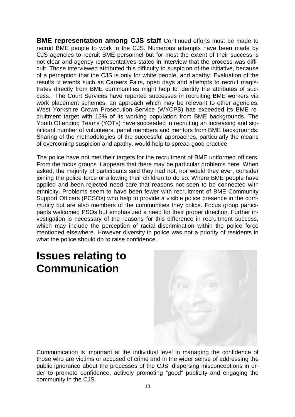**BME representation among CJS staff** Continued efforts must be made to recruit BME people to work in the CJS. Numerous attempts have been made by CJS agencies to recruit BME personnel but for most the extent of their success is not clear and agency representatives stated in interview that the process was difficult. Those interviewed attributed this difficulty to suspicion of the initiative, because of a perception that the CJS is only for white people, and apathy. Evaluation of the results of events such as Careers Fairs, open days and attempts to recruit magistrates directly from BME communities might help to identify the attributes of success. The Court Services have reported successes in recruiting BME workers via work placement schemes, an approach which may be relevant to other agencies. West Yorkshire Crown Prosecution Service (WYCPS) has exceeded its BME recruitment target with 13% of its working population from BME backgrounds. The Youth Offending Teams (YOTs) have succeeded in recruiting an increasing and significant number of volunteers, panel members and mentors from BME backgrounds. Sharing of the methodologies of the successful approaches, particularly the means of overcoming suspicion and apathy, would help to spread good practice.

The police have not met their targets for the recruitment of BME uniformed officers. From the focus groups it appears that there may be particular problems here. When asked, the majority of participants said they had not, nor would they ever, consider joining the police force or allowing their children to do so. Where BME people have applied and been rejected need care that reasons not seen to be connected with ethnicity. Problems seem to have been fewer with recruitment of BME Community Support Officers (PCSOs) who help to provide a visible police presence in the community but are also members of the communities they police. Focus group participants welcomed PSOs but emphasized a need for their proper direction. Further investigation is necessary of the reasons for this difference in recruitment success, which may include the perception of racial discrimination within the police force mentioned elsewhere. However diversity in police was not a priority of residents in what the police should do to raise confidence.

### **Issues relating to Communication**

Communication is important at the individual level in managing the confidence of those who are victims or accused of crime and in the wider sense of addressing the public ignorance about the processes of the CJS, dispersing misconceptions in order to promote confidence, actively promoting "good" publicity and engaging the community in the CJS.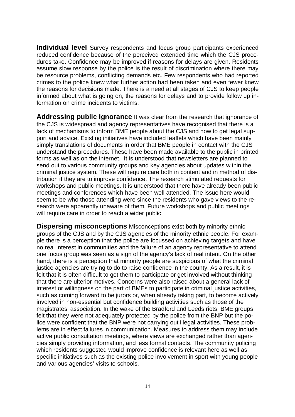**Individual level** Survey respondents and focus group participants experienced reduced confidence because of the perceived extended time which the CJS procedures take. Confidence may be improved if reasons for delays are given. Residents assume slow response by the police is the result of discrimination where there may be resource problems, conflicting demands etc. Few respondents who had reported crimes to the police knew what further action had been taken and even fewer knew the reasons for decisions made. There is a need at all stages of CJS to keep people informed about what is going on, the reasons for delays and to provide follow up information on crime incidents to victims.

**Addressing public ignorance** It was clear from the research that ignorance of the CJS is widespread and agency representatives have recognised that there is a lack of mechanisms to inform BME people about the CJS and how to get legal support and advice. Existing initiatives have included leaflets which have been mainly simply translations of documents in order that BME people in contact with the CJS understand the procedures. These have been made available to the public in printed forms as well as on the internet. It is understood that newsletters are planned to send out to various community groups and key agencies about updates within the criminal justice system. These will require care both in content and in method of distribution if they are to improve confidence. The research stimulated requests for workshops and public meetings. It is understood that there have already been public meetings and conferences which have been well attended. The issue here would seem to be who those attending were since the residents who gave views to the research were apparently unaware of them. Future workshops and public meetings will require care in order to reach a wider public.

**Dispersing misconceptions** Misconceptions exist both by minority ethnic groups of the CJS and by the CJS agencies of the minority ethnic people. For example there is a perception that the police are focussed on achieving targets and have no real interest in communities and the failure of an agency representative to attend one focus group was seen as a sign of the agency's lack of real intent. On the other hand, there is a perception that minority people are suspicious of what the criminal justice agencies are trying to do to raise confidence in the county. As a result, it is felt that it is often difficult to get them to participate or get involved without thinking that there are ulterior motives. Concerns were also raised about a general lack of interest or willingness on the part of BMEs to participate in criminal justice activities, such as coming forward to be jurors or, when already taking part, to become actively involved in non-essential but confidence building activities such as those of the magistrates' association. In the wake of the Bradford and Leeds riots, BME groups felt that they were not adequately protected by the police from the BNP but the police were confident that the BNP were not carrying out illegal activities. These problems are in effect failures in communication. Measures to address them may include active public consultation meetings, where views are exchanged rather than agencies simply providing information, and less formal contacts. The community policing which residents suggested would improve confidence is relevant here as well as specific initiatives such as the existing police involvement in sport with young people and various agencies' visits to schools.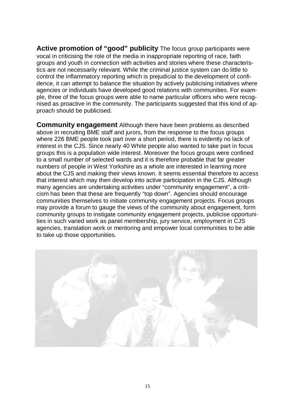**Active promotion of "good" publicity** The focus group participants were vocal in criticising the role of the media in inappropriate reporting of race, faith groups and youth in connection with activities and stories where these characteristics are not necessarily relevant. While the criminal justice system can do little to control the inflammatory reporting which is prejudicial to the development of confidence, it can attempt to balance the situation by actively publicising initiatives where agencies or individuals have developed good relations with communities. For example, three of the focus groups were able to name particular officers who were recognised as proactive in the community. The participants suggested that this kind of approach should be publicised.

**Community engagement** Although there have been problems as described above in recruiting BME staff and jurors, from the response to the focus groups where 226 BME people took part over a short period, there is evidently no lack of interest in the CJS. Since nearly 40 White people also wanted to take part in focus groups this is a population wide interest. Moreover the focus groups were confined to a small number of selected wards and it is therefore probable that far greater numbers of people in West Yorkshire as a whole are interested in learning more about the CJS and making their views known. It seems essential therefore to access that interest which may then develop into active participation in the CJS. Although many agencies are undertaking activities under "community engagement", a criticism has been that these are frequently "top down". Agencies should encourage communities themselves to initiate community engagement projects. Focus groups may provide a forum to gauge the views of the community about engagement, form community groups to instigate community engagement projects, publicise opportunities in such varied work as panel membership, jury service, employment in CJS agencies, translation work or mentoring and empower local communities to be able to take up those opportunities.

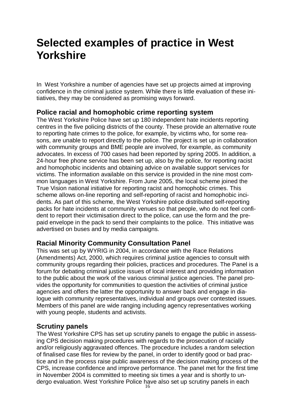### **Selected examples of practice in West Yorkshire**

In West Yorkshire a number of agencies have set up projects aimed at improving confidence in the criminal justice system. While there is little evaluation of these initiatives, they may be considered as promising ways forward.

#### **Police racial and homophobic crime reporting system**

The West Yorkshire Police have set up 180 independent hate incidents reporting centres in the five policing districts of the county. These provide an alternative route to reporting hate crimes to the police, for example, by victims who, for some reasons, are unable to report directly to the police. The project is set up in collaboration with community groups and BME people are involved, for example, as community advocates. In excess of 700 cases had been reported by spring 2005. In addition, a 24-hour free phone service has been set up, also by the police, for reporting racist and homophobic incidents and obtaining advice on available support services for victims. The information available on this service is provided in the nine most common languages in West Yorkshire. From June 2005, the local scheme joined the True Vision national initiative for reporting racist and homophobic crimes. This scheme allows on-line reporting and self-reporting of racist and homophobic incidents. As part of this scheme, the West Yorkshire police distributed self-reporting packs for hate incidents at community venues so that people, who do not feel confident to report their victimisation direct to the police, can use the form and the prepaid envelope in the pack to send their complaints to the police. This initiative was advertised on buses and by media campaigns.

#### **Racial Minority Community Consultation Panel**

This was set up by WYRIG in 2004, in accordance with the Race Relations (Amendments) Act, 2000, which requires criminal justice agencies to consult with community groups regarding their policies, practices and procedures. The Panel is a forum for debating criminal justice issues of local interest and providing information to the public about the work of the various criminal justice agencies. The panel provides the opportunity for communities to question the activities of criminal justice agencies and offers the latter the opportunity to answer back and engage in dialogue with community representatives, individual and groups over contested issues. Members of this panel are wide ranging including agency representatives working with young people, students and activists.

#### **Scrutiny panels**

The West Yorkshire CPS has set up scrutiny panels to engage the public in assessing CPS decision making procedures with regards to the prosecution of racially and/or religiously aggravated offences. The procedure includes a random selection of finalised case files for review by the panel, in order to identify good or bad practice and in the process raise public awareness of the decision making process of the CPS, increase confidence and improve performance. The panel met for the first time in November 2004 is committed to meeting six times a year and is shortly to undergo evaluation. West Yorkshire Police have also set up scrutiny panels in each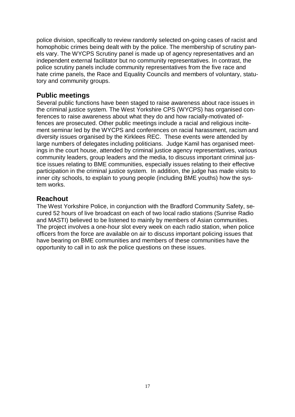police division, specifically to review randomly selected on-going cases of racist and homophobic crimes being dealt with by the police. The membership of scrutiny panels vary. The WYCPS Scrutiny panel is made up of agency representatives and an independent external facilitator but no community representatives. In contrast, the police scrutiny panels include community representatives from the five race and hate crime panels, the Race and Equality Councils and members of voluntary, statutory and community groups.

#### **Public meetings**

Several public functions have been staged to raise awareness about race issues in the criminal justice system. The West Yorkshire CPS (WYCPS) has organised conferences to raise awareness about what they do and how racially-motivated offences are prosecuted. Other public meetings include a racial and religious incitement seminar led by the WYCPS and conferences on racial harassment, racism and diversity issues organised by the Kirklees REC. These events were attended by large numbers of delegates including politicians. Judge Kamil has organised meetings in the court house, attended by criminal justice agency representatives, various community leaders, group leaders and the media, to discuss important criminal justice issues relating to BME communities, especially issues relating to their effective participation in the criminal justice system. In addition, the judge has made visits to inner city schools, to explain to young people (including BME youths) how the system works.

#### **Reachout**

The West Yorkshire Police, in conjunction with the Bradford Community Safety, secured 52 hours of live broadcast on each of two local radio stations (Sunrise Radio and MASTI) believed to be listened to mainly by members of Asian communities. The project involves a one-hour slot every week on each radio station, when police officers from the force are available on air to discuss important policing issues that have bearing on BME communities and members of these communities have the opportunity to call in to ask the police questions on these issues.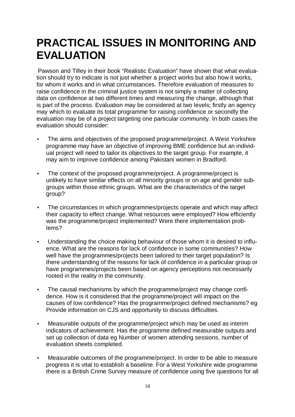## **PRACTICAL ISSUES IN MONITORING AND EVALUATION**

Pawson and Tilley in their book "Realistic Evaluation" have shown that what evaluation should try to indicate is not just whether a project works but also how it works, for whom it works and in what circumstances. Therefore evaluation of measures to raise confidence in the criminal justice system is not simply a matter of collecting data on confidence at two different times and measuring the change, although that is part of the process. Evaluation may be considered at two levels; firstly an agency may which to evaluate its total programme for raising confidence or secondly the evaluation may be of a project targeting one particular community. In both cases the evaluation should consider:

- The aims and objectives of the proposed programme/project. A West Yorkshire programme may have an objective of improving BME confidence but an individual project will need to tailor its objectives to the target group. For example, it may aim to improve confidence among Pakistani women in Bradford.
- The context of the proposed programme/project. A programme/project is unlikely to have similar effects on all minority groups or on age and gender subgroups within those ethnic groups. What are the characteristics of the target group?
- The circumstances in which programmes/projects operate and which may affect their capacity to effect change. What resources were employed? How efficiently was the programme/project implemented? Were there implementation problems?
- Understanding the choice making behaviour of those whom it is desired to influence. What are the reasons for lack of confidence in some communities? How well have the programmes/projects been tailored to their target population? Is there understanding of the reasons for lack of confidence in a particular group or have programmes/projects been based on agency perceptions not necessarily rooted in the reality in the community.
- The causal mechanisms by which the programme/project may change confidence. How is it considered that the programme/project will impact on the causes of low confidence? Has the programme/project defined mechanisms? eg Provide information on CJS and opportunity to discuss difficulties.
- Measurable outputs of the programme/project which may be used as interim indicators of achievement. Has the programme defined measurable outputs and set up collection of data eg Number of women attending sessions, number of evaluation sheets completed.
- Measurable outcomes of the programme/project. In order to be able to measure progress it is vital to establish a baseline. For a West Yorkshire wide programme there is a British Crime Survey measure of confidence using five questions for all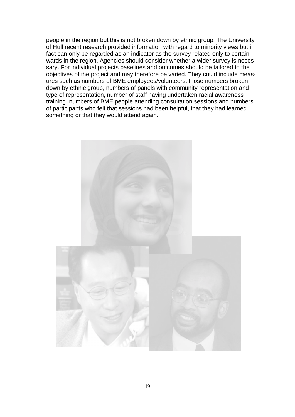people in the region but this is not broken down by ethnic group. The University of Hull recent research provided information with regard to minority views but in fact can only be regarded as an indicator as the survey related only to certain wards in the region. Agencies should consider whether a wider survey is necessary. For individual projects baselines and outcomes should be tailored to the objectives of the project and may therefore be varied. They could include measures such as numbers of BME employees/volunteers, those numbers broken down by ethnic group, numbers of panels with community representation and type of representation, number of staff having undertaken racial awareness training, numbers of BME people attending consultation sessions and numbers of participants who felt that sessions had been helpful, that they had learned something or that they would attend again.

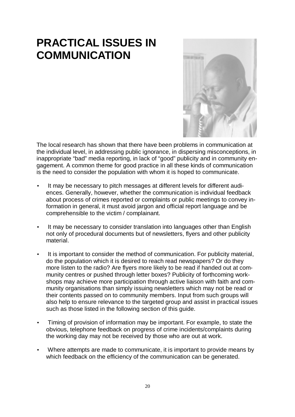## **PRACTICAL ISSUES IN COMMUNICATION**



The local research has shown that there have been problems in communication at the individual level, in addressing public ignorance, in dispersing misconceptions, in inappropriate "bad" media reporting, in lack of "good" publicity and in community engagement. A common theme for good practice in all these kinds of communication is the need to consider the population with whom it is hoped to communicate.

- It may be necessary to pitch messages at different levels for different audiences. Generally, however, whether the communication is individual feedback about process of crimes reported or complaints or public meetings to convey information in general, it must avoid jargon and official report language and be comprehensible to the victim / complainant.
- It may be necessary to consider translation into languages other than English not only of procedural documents but of newsletters, flyers and other publicity material.
- It is important to consider the method of communication. For publicity material, do the population which it is desired to reach read newspapers? Or do they more listen to the radio? Are flyers more likely to be read if handed out at community centres or pushed through letter boxes? Publicity of forthcoming workshops may achieve more participation through active liaison with faith and community organisations than simply issuing newsletters which may not be read or their contents passed on to community members. Input from such groups will also help to ensure relevance to the targeted group and assist in practical issues such as those listed in the following section of this guide.
- Timing of provision of information may be important. For example, to state the obvious, telephone feedback on progress of crime incidents/complaints during the working day may not be received by those who are out at work.
- Where attempts are made to communicate, it is important to provide means by which feedback on the efficiency of the communication can be generated.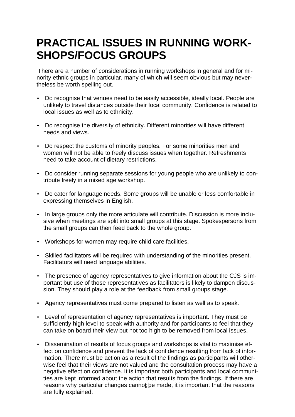## **PRACTICAL ISSUES IN RUNNING WORK-SHOPS/FOCUS GROUPS**

There are a number of considerations in running workshops in general and for minority ethnic groups in particular, many of which will seem obvious but may nevertheless be worth spelling out.

- Do recognise that venues need to be easily accessible, ideally local. People are unlikely to travel distances outside their local community. Confidence is related to local issues as well as to ethnicity.
- Do recognise the diversity of ethnicity. Different minorities will have different needs and views.
- Do respect the customs of minority peoples. For some minorities men and women will not be able to freely discuss issues when together. Refreshments need to take account of dietary restrictions.
- Do consider running separate sessions for young people who are unlikely to contribute freely in a mixed age workshop.
- Do cater for language needs. Some groups will be unable or less comfortable in expressing themselves in English.
- In large groups only the more articulate will contribute. Discussion is more inclusive when meetings are split into small groups at this stage. Spokespersons from the small groups can then feed back to the whole group.
- Workshops for women may require child care facilities.
- Skilled facilitators will be required with understanding of the minorities present. Facilitators will need language abilities.
- The presence of agency representatives to give information about the CJS is important but use of those representatives as facilitators is likely to dampen discussion. They should play a role at the feedback from small groups stage.
- Agency representatives must come prepared to listen as well as to speak.
- Level of representation of agency representatives is important. They must be sufficiently high level to speak with authority and for participants to feel that they can take on board their view but not too high to be removed from local issues.
- reasons why particular changes cannot be made, it is important that the reasons • Dissemination of results of focus groups and workshops is vital to maximise effect on confidence and prevent the lack of confidence resulting from lack of information. There must be action as a result of the findings as participants will otherwise feel that their views are not valued and the consultation process may have a negative effect on confidence. It is important both participants and local communities are kept informed about the action that results from the findings. If there are are fully explained.